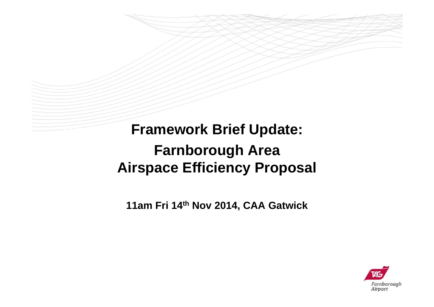**Framework Brief Update: Farnborough Area Airspace Efficiency Proposal**

**11am Fri 14th Nov 2014, CAA Gatwick**

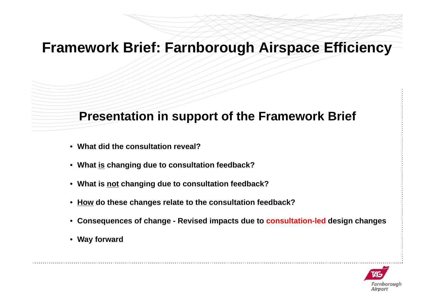### **Presentation in support of the Framework Brief**

- **What did the consultation reveal?**
- **What is changing due to consultation feedback?**
- **What is not changing due to consultation feedback?**
- **How do these changes relate to the consultation feedback?**
- **Consequences of change - Revised impacts due to consultation-led design changes**
- **Way forward**

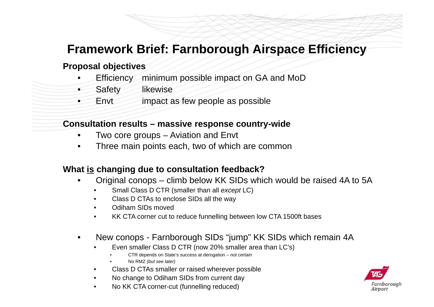#### **Proposal objectives**

- •Efficiency minimum possible impact on GA and MoD
- •Safety likewise
- •Envt impact as few people as possible

#### **Consultation results – massive response country-wide**

- •Two core groups – Aviation and Envt
- •Three main points each, two of which are common

#### **What is changing due to consultation feedback?**

- • Original conops – climb below KK SIDs which would be raised 4A to 5A
	- •Small Class D CTR (smaller than all *except* LC)
	- •Class D CTAs to enclose SIDs all the way
	- •Odiham SIDs moved
	- •KK CTA corner cut to reduce funnelling between low CTA 1500ft bases
- • New conops - Farnborough SIDs "jump" KK SIDs which remain 4A
	- • Even smaller Class D CTR (now 20% smaller area than LC's)
		- •CTR depends on State's success at derogation – *not certain*
		- •No RMZ *(but see later)*
	- •Class D CTAs smaller or raised wherever possible
	- •No change to Odiham SIDs from current day
	- •No KK CTA corner-cut (funnelling reduced)

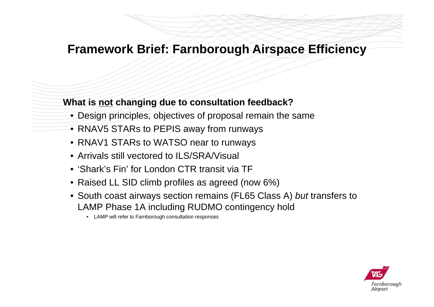### **What is not changing due to consultation feedback?**

- Design principles, objectives of proposal remain the same
- RNAV5 STARs to PEPIS away from runways
- RNAV1 STARs to WATSO near to runways
- Arrivals still vectored to ILS/SRA/Visual
- 'Shark's Fin' for London CTR transit via TF
- Raised LL SID climb profiles as agreed (now 6%)
- South coast airways section remains (FL65 Class A) *but* transfers to LAMP Phase 1A including RUDMO contingency hold
	- LAMP will refer to Farnborough consultation responses

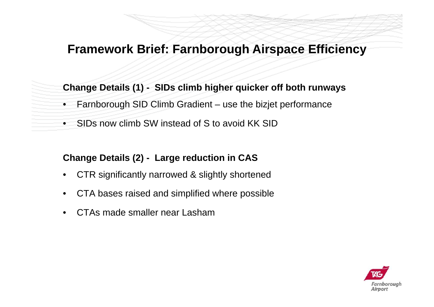### **Change Details (1) - SIDs climb higher quicker off both runways**

- $\bullet$ Farnborough SID Climb Gradient – use the bizjet performance
- •SIDs now climb SW instead of S to avoid KK SID

### **Change Details (2) - Large reduction in CAS**

- •CTR significantly narrowed & slightly shortened
- •CTA bases raised and simplified where possible
- •CTAs made smaller near Lasham

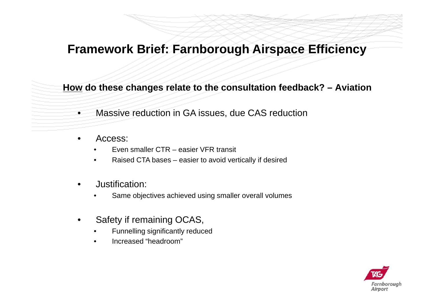**How do these changes relate to the consultation feedback? – Aviation** 

- $\bullet$ Massive reduction in GA issues, due CAS reduction
- • Access:
	- •Even smaller CTR – easier VFR transit
	- •Raised CTA bases – easier to avoid vertically if desired
- • Justification:
	- •Same objectives achieved using smaller overall volumes
- • Safety if remaining OCAS,
	- •Funnelling significantly reduced
	- •Increased "headroom"

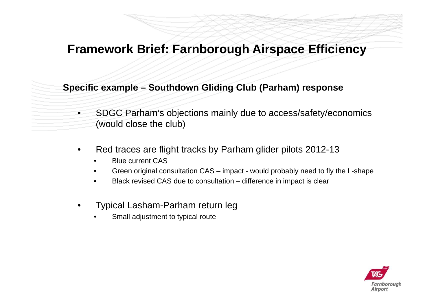#### **Specific example – Southdown Gliding Club (Parham) response**

- $\bullet$  SDGC Parham's objections mainly due to access/safety/economics (would close the club)
- • Red traces are flight tracks by Parham glider pilots 2012-13
	- •Blue current CAS
	- •Green original consultation CAS – impact - would probably need to fly the L-shape
	- •Black revised CAS due to consultation – difference in impact is clear
- • Typical Lasham-Parham return leg
	- •Small adjustment to typical route

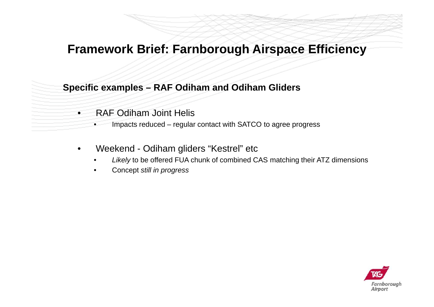#### **Specific examples – RAF Odiham and Odiham Gliders**

- $\bullet$  RAF Odiham Joint Helis
	- •Impacts reduced – regular contact with SATCO to agree progress
- • Weekend - Odiham gliders "Kestrel" etc
	- •*Likely* to be offered FUA chunk of combined CAS matching their ATZ dimensions
	- •Concept *still in progress*

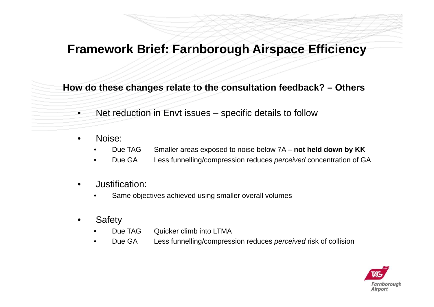**How do these changes relate to the consultation feedback? – Others**

- $\bullet$ Net reduction in Envt issues – specific details to follow
- • Noise:
	- •Due TAG Smaller areas exposed to noise below 7A – **not held down by KK**
	- •Due GA Less funnelling/compression reduces *perceived* concentration of GA
- • Justification:
	- •Same objectives achieved using smaller overall volumes
- •**Safety** 
	- •Due TAG Quicker climb into LTMA
	- •Due GA Less funnelling/compression reduces *perceived* risk of collision

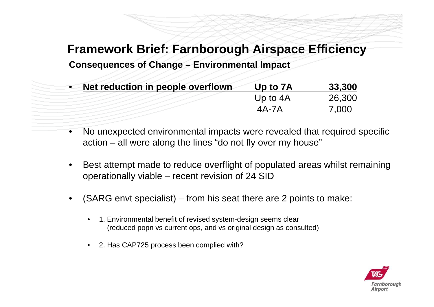**Consequences of Change – Environmental Impact**

| • Net reduction in people overflown | Up to 7A   | 33,300 |
|-------------------------------------|------------|--------|
|                                     | Up to $4A$ | 26,300 |
|                                     | 4A-7A      | 7,000  |

- • No unexpected environmental impacts were revealed that required specific action – all were along the lines "do not fly over my house"
- • Best attempt made to reduce overflight of populated areas whilst remaining operationally viable – recent revision of 24 SID
- • (SARG envt specialist) – from his seat there are 2 points to make:
	- • 1. Environmental benefit of revised system-design seems clear (reduced popn vs current ops, and vs original design as consulted)
	- •2. Has CAP725 process been complied with?

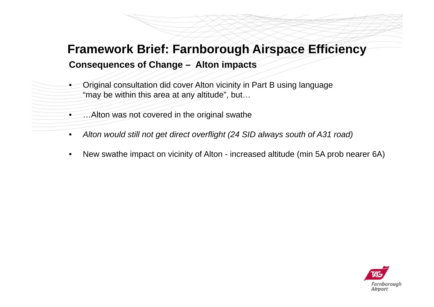## **Consequences of Change – Alton impacts Framework Brief: Farnborough Airspace Efficiency**

- • Original consultation did cover Alton vicinity in Part B using language "may be within this area at any altitude", but…
	- •…Alton was not covered in the original swathe
- •*Alton would still not get direct overflight (24 SID always south of A31 road)*
- •New swathe impact on vicinity of Alton - increased altitude (min 5A prob nearer 6A)

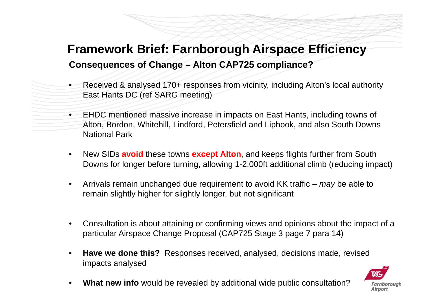## **Framework Brief: Farnborough Airspace Efficiency Consequences of Change – Alton CAP725 compliance?**

- • Received & analysed 170+ responses from vicinity, including Alton's local authority East Hants DC (ref SARG meeting)
- • EHDC mentioned massive increase in impacts on East Hants, including towns of Alton, Bordon, Whitehill, Lindford, Petersfield and Liphook, and also South Downs National Park
- • New SIDs **avoid** these towns **except Alton**, and keeps flights further from South Downs for longer before turning, allowing 1-2,000ft additional climb (reducing impact)
- • Arrivals remain unchanged due requirement to avoid KK traffic – *may* be able to remain slightly higher for slightly longer, but not significant
- • Consultation is about attaining or confirming views and opinions about the impact of a particular Airspace Change Proposal (CAP725 Stage 3 page 7 para 14)
- • **Have we done this?** Responses received, analysed, decisions made, revised impacts analysed



•**What new info** would be revealed by additional wide public consultation?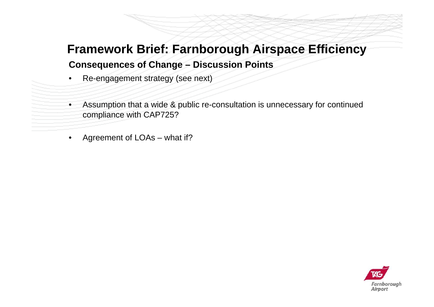#### **Consequences of Change – Discussion Points**

- •Re-engagement strategy (see next)
- • Assumption that a wide & public re-consultation is unnecessary for continued compliance with CAP725?
- •Agreement of LOAs – what if?

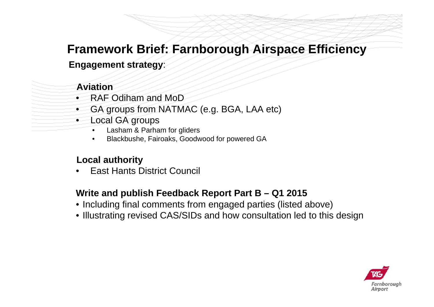### **Engagement strategy**:

#### **Aviation**

- •RAF Odiham and MoD
- •GA groups from NATMAC (e.g. BGA, LAA etc)
- • Local GA groups
	- •Lasham & Parham for gliders
	- •Blackbushe, Fairoaks, Goodwood for powered GA

### **Local authority**

•East Hants District Council

#### **Write and publish Feedback Report Part B – Q1 2015**

- Including final comments from engaged parties (listed above)
- Illustrating revised CAS/SIDs and how consultation led to this design

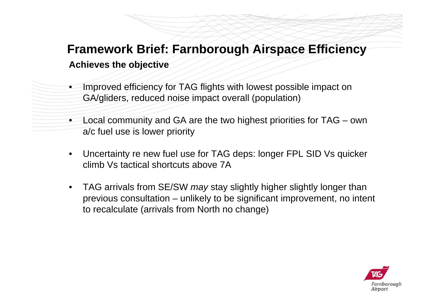## **Achieves the objective Framework Brief: Farnborough Airspace Efficiency**

- • Improved efficiency for TAG flights with lowest possible impact on GA/gliders, reduced noise impact overall (population)
- • Local community and GA are the two highest priorities for TAG – own a/c fuel use is lower priority
- • Uncertainty re new fuel use for TAG deps: longer FPL SID Vs quicker climb Vs tactical shortcuts above 7A
- • TAG arrivals from SE/SW *may* stay slightly higher slightly longer than previous consultation – unlikely to be significant improvement, no intent to recalculate (arrivals from North no change)